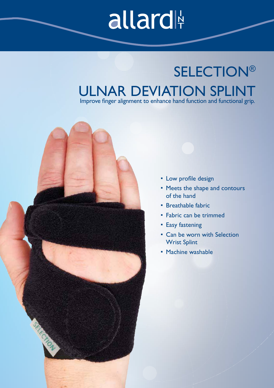# allard

## **SELECTION®** ULNAR DEVIATION SPLINT

Improve finger alignment to enhance hand function and functional grip.

- Low profile design
- Meets the shape and contours of the hand
- Breathable fabric
- Fabric can be trimmed
- Easy fastening
- Can be worn with Selection Wrist Splint
- Machine washable